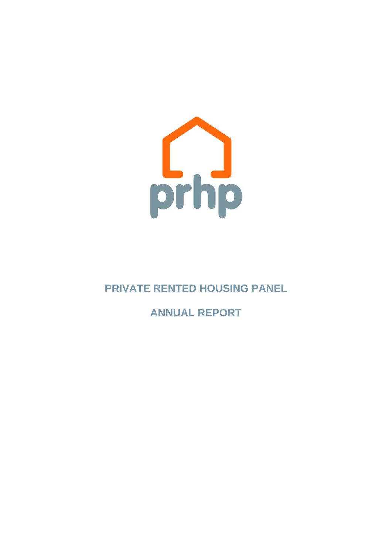

**PRIVATE RENTED HOUSING PANEL** 

**ANNUAL REPORT**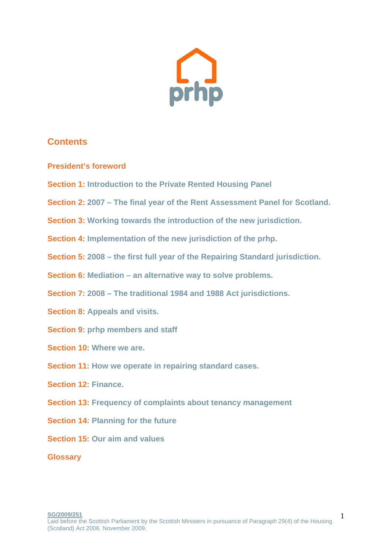

## **Contents**

- **President's foreword**
- **Section 1: Introduction to the Private Rented Housing Panel**
- **Section 2: 2007 The final year of the Rent Assessment Panel for Scotland.**
- **Section 3: Working towards the introduction of the new jurisdiction.**
- **Section 4: Implementation of the new jurisdiction of the prhp.**
- **Section 5: 2008 the first full year of the Repairing Standard jurisdiction.**
- **Section 6: Mediation an alternative way to solve problems.**
- **Section 7: 2008 The traditional 1984 and 1988 Act jurisdictions.**
- **Section 8: Appeals and visits.**
- **Section 9: prhp members and staff**
- **Section 10: Where we are.**
- **Section 11: How we operate in repairing standard cases.**
- **Section 12: Finance.**
- **Section 13: Frequency of complaints about tenancy management**
- **Section 14: Planning for the future**
- **Section 15: Our aim and values**

**Glossary**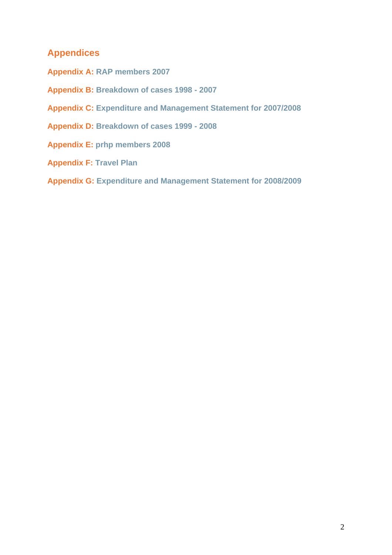## **Appendices**

- **Appendix A: RAP members 2007**
- **Appendix B: Breakdown of cases 1998 2007**
- **Appendix C: Expenditure and Management Statement for 2007/2008**
- **Appendix D: Breakdown of cases 1999 2008**
- **Appendix E: prhp members 2008**
- **Appendix F: Travel Plan**
- **Appendix G: Expenditure and Management Statement for 2008/2009**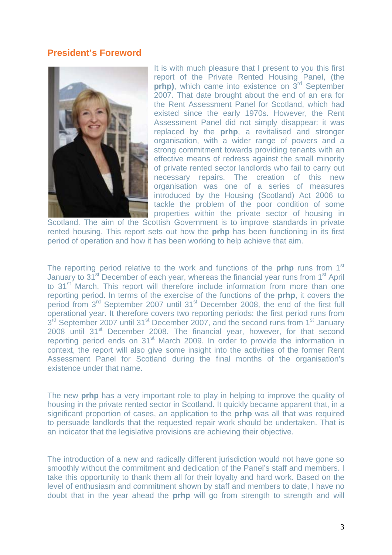#### **President's Foreword**



It is with much pleasure that I present to you this first report of the Private Rented Housing Panel, (the **prhp)**, which came into existence on 3<sup>rd</sup> September 2007. That date brought about the end of an era for the Rent Assessment Panel for Scotland, which had existed since the early 1970s. However, the Rent Assessment Panel did not simply disappear: it was replaced by the **prhp**, a revitalised and stronger organisation, with a wider range of powers and a strong commitment towards providing tenants with an effective means of redress against the small minority of private rented sector landlords who fail to carry out necessary repairs. The creation of this new organisation was one of a series of measures introduced by the Housing (Scotland) Act 2006 to tackle the problem of the poor condition of some properties within the private sector of housing in

Scotland. The aim of the Scottish Government is to improve standards in private rented housing. This report sets out how the **prhp** has been functioning in its first period of operation and how it has been working to help achieve that aim.

The reporting period relative to the work and functions of the **prhp** runs from 1<sup>st</sup> January to 31<sup>st</sup> December of each year, whereas the financial year runs from 1<sup>st</sup> April to 31<sup>st</sup> March. This report will therefore include information from more than one reporting period. In terms of the exercise of the functions of the **prhp**, it covers the period from 3<sup>rd</sup> September 2007 until 31<sup>st</sup> December 2008, the end of the first full operational year. It therefore covers two reporting periods: the first period runs from 3<sup>rd</sup> September 2007 until 31<sup>st</sup> December 2007, and the second runs from 1<sup>st</sup> January 2008 until 31<sup>st</sup> December 2008. The financial year, however, for that second reporting period ends on 31<sup>st</sup> March 2009. In order to provide the information in context, the report will also give some insight into the activities of the former Rent Assessment Panel for Scotland during the final months of the organisation's existence under that name.

The new **prhp** has a very important role to play in helping to improve the quality of housing in the private rented sector in Scotland. It quickly became apparent that, in a significant proportion of cases, an application to the **prhp** was all that was required to persuade landlords that the requested repair work should be undertaken. That is an indicator that the legislative provisions are achieving their objective.

The introduction of a new and radically different jurisdiction would not have gone so smoothly without the commitment and dedication of the Panel's staff and members. I take this opportunity to thank them all for their loyalty and hard work. Based on the level of enthusiasm and commitment shown by staff and members to date, I have no doubt that in the year ahead the **prhp** will go from strength to strength and will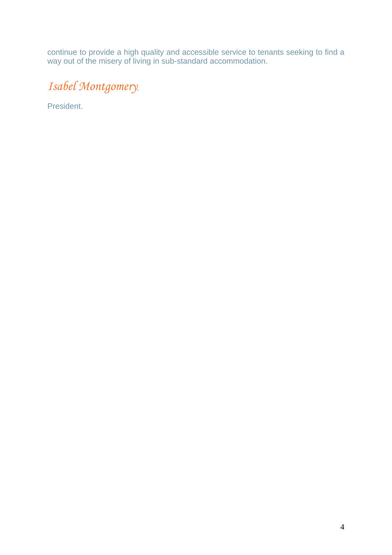continue to provide a high quality and accessible service to tenants seeking to find a way out of the misery of living in sub-standard accommodation.

# *Isabel Montgomery,*

President.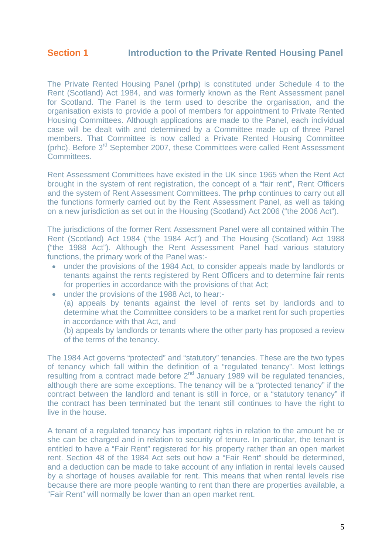The Private Rented Housing Panel (**prhp**) is constituted under Schedule 4 to the Rent (Scotland) Act 1984, and was formerly known as the Rent Assessment panel for Scotland. The Panel is the term used to describe the organisation, and the organisation exists to provide a pool of members for appointment to Private Rented Housing Committees. Although applications are made to the Panel, each individual case will be dealt with and determined by a Committee made up of three Panel members. That Committee is now called a Private Rented Housing Committee (prhc). Before 3rd September 2007, these Committees were called Rent Assessment **Committees** 

Rent Assessment Committees have existed in the UK since 1965 when the Rent Act brought in the system of rent registration, the concept of a "fair rent", Rent Officers and the system of Rent Assessment Committees. The **prhp** continues to carry out all the functions formerly carried out by the Rent Assessment Panel, as well as taking on a new jurisdiction as set out in the Housing (Scotland) Act 2006 ("the 2006 Act").

The jurisdictions of the former Rent Assessment Panel were all contained within The Rent (Scotland) Act 1984 ("the 1984 Act") and The Housing (Scotland) Act 1988 ("the 1988 Act"). Although the Rent Assessment Panel had various statutory functions, the primary work of the Panel was:-

- under the provisions of the 1984 Act, to consider appeals made by landlords or tenants against the rents registered by Rent Officers and to determine fair rents for properties in accordance with the provisions of that Act;
- under the provisions of the 1988 Act, to hear:- (a) appeals by tenants against the level of rents set by landlords and to determine what the Committee considers to be a market rent for such properties in accordance with that Act, and

(b) appeals by landlords or tenants where the other party has proposed a review of the terms of the tenancy.

The 1984 Act governs "protected" and "statutory" tenancies. These are the two types of tenancy which fall within the definition of a "regulated tenancy". Most lettings resulting from a contract made before 2<sup>nd</sup> January 1989 will be regulated tenancies, although there are some exceptions. The tenancy will be a "protected tenancy" if the contract between the landlord and tenant is still in force, or a "statutory tenancy" if the contract has been terminated but the tenant still continues to have the right to live in the house.

A tenant of a regulated tenancy has important rights in relation to the amount he or she can be charged and in relation to security of tenure. In particular, the tenant is entitled to have a "Fair Rent" registered for his property rather than an open market rent. Section 48 of the 1984 Act sets out how a "Fair Rent" should be determined, and a deduction can be made to take account of any inflation in rental levels caused by a shortage of houses available for rent. This means that when rental levels rise because there are more people wanting to rent than there are properties available, a "Fair Rent" will normally be lower than an open market rent.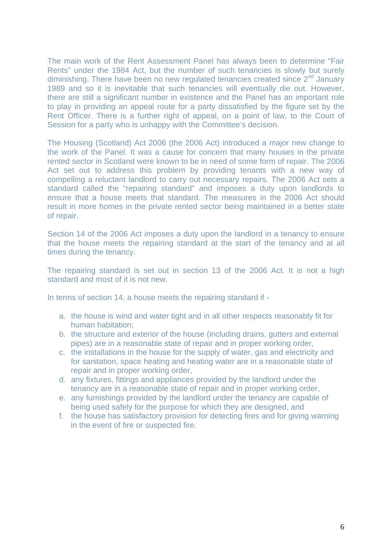The main work of the Rent Assessment Panel has always been to determine "Fair Rents" under the 1984 Act, but the number of such tenancies is slowly but surely diminishing. There have been no new regulated tenancies created since  $2<sup>nd</sup>$  January 1989 and so it is inevitable that such tenancies will eventually die out. However, there are still a significant number in existence and the Panel has an important role to play in providing an appeal route for a party dissatisfied by the figure set by the Rent Officer. There is a further right of appeal, on a point of law, to the Court of Session for a party who is unhappy with the Committee's decision.

The Housing (Scotland) Act 2006 (the 2006 Act) introduced a major new change to the work of the Panel. It was a cause for concern that many houses in the private rented sector in Scotland were known to be in need of some form of repair. The 2006 Act set out to address this problem by providing tenants with a new way of compelling a reluctant landlord to carry out necessary repairs. The 2006 Act sets a standard called the "repairing standard" and imposes a duty upon landlords to ensure that a house meets that standard. The measures in the 2006 Act should result in more homes in the private rented sector being maintained in a better state of repair.

Section 14 of the 2006 Act imposes a duty upon the landlord in a tenancy to ensure that the house meets the repairing standard at the start of the tenancy and at all times during the tenancy.

The repairing standard is set out in section 13 of the 2006 Act. It is not a high standard and most of it is not new.

In terms of section 14, a house meets the repairing standard if -

- a. the house is wind and water tight and in all other respects reasonably fit for human habitation;
- b. the structure and exterior of the house (including drains, gutters and external pipes) are in a reasonable state of repair and in proper working order,
- c. the installations in the house for the supply of water, gas and electricity and for sanitation, space heating and heating water are in a reasonable state of repair and in proper working order,
- d. any fixtures, fittings and appliances provided by the landlord under the tenancy are in a reasonable state of repair and in proper working order,
- e. any furnishings provided by the landlord under the tenancy are capable of being used safely for the purpose for which they are designed, and
- f. the house has [satisfactory provision](http://www.edinburgh.gov.uk/internet/Housing/Private_tenants_and_home_owners/Letwise/CEC_frequently_asked_questions_-_safety,_inspections,_antisocial_behaviour) for detecting fires and for giving warning in the event of fire or suspected fire.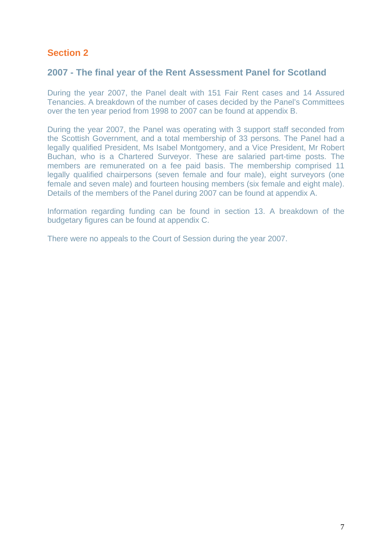## **Section 2**

## **2007 - The final year of the Rent Assessment Panel for Scotland**

During the year 2007, the Panel dealt with 151 Fair Rent cases and 14 Assured Tenancies. A breakdown of the number of cases decided by the Panel's Committees over the ten year period from 1998 to 2007 can be found at appendix B.

During the year 2007, the Panel was operating with 3 support staff seconded from the Scottish Government, and a total membership of 33 persons. The Panel had a legally qualified President, Ms Isabel Montgomery, and a Vice President, Mr Robert Buchan, who is a Chartered Surveyor. These are salaried part-time posts. The members are remunerated on a fee paid basis. The membership comprised 11 legally qualified chairpersons (seven female and four male), eight surveyors (one female and seven male) and fourteen housing members (six female and eight male). Details of the members of the Panel during 2007 can be found at appendix A.

Information regarding funding can be found in section 13. A breakdown of the budgetary figures can be found at appendix C.

There were no appeals to the Court of Session during the year 2007.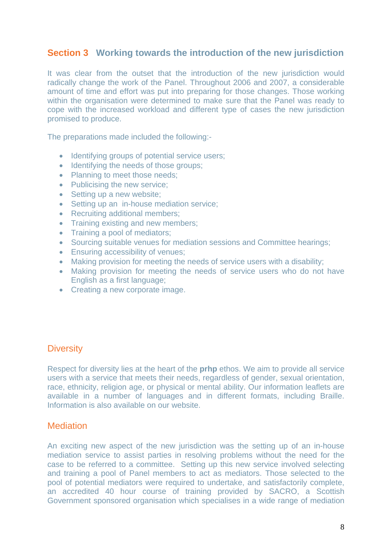## **Section 3 Working towards the introduction of the new jurisdiction**

It was clear from the outset that the introduction of the new jurisdiction would radically change the work of the Panel. Throughout 2006 and 2007, a considerable amount of time and effort was put into preparing for those changes. Those working within the organisation were determined to make sure that the Panel was ready to cope with the increased workload and different type of cases the new jurisdiction promised to produce.

The preparations made included the following:-

- Identifying groups of potential service users;
- Identifying the needs of those groups;
- Planning to meet those needs:
- Publicising the new service:
- Setting up a new website:
- Setting up an in-house mediation service;
- Recruiting additional members;
- Training existing and new members;
- Training a pool of mediators:
- Sourcing suitable venues for mediation sessions and Committee hearings;
- Ensuring accessibility of venues;
- Making provision for meeting the needs of service users with a disability;
- Making provision for meeting the needs of service users who do not have English as a first language;
- Creating a new corporate image.

#### **Diversity**

Respect for diversity lies at the heart of the **prhp** ethos. We aim to provide all service users with a service that meets their needs, regardless of gender, sexual orientation, race, ethnicity, religion age, or physical or mental ability. Our information leaflets are available in a number of languages and in different formats, including Braille. Information is also available on our website.

#### **Mediation**

An exciting new aspect of the new jurisdiction was the setting up of an in-house mediation service to assist parties in resolving problems without the need for the case to be referred to a committee. Setting up this new service involved selecting and training a pool of Panel members to act as mediators. Those selected to the pool of potential mediators were required to undertake, and satisfactorily complete, an accredited 40 hour course of training provided by SACRO, a Scottish Government sponsored organisation which specialises in a wide range of mediation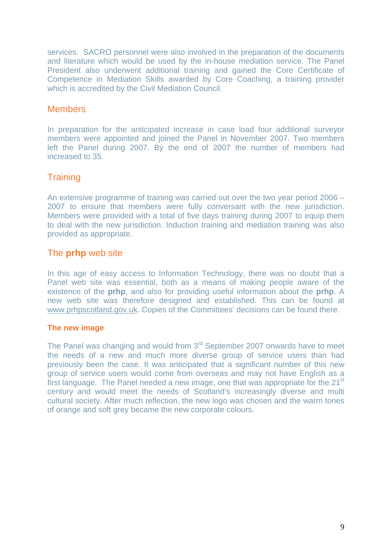services. SACRO personnel were also involved in the preparation of the documents and literature which would be used by the in-house mediation service. The Panel President also underwent additional training and gained the Core Certificate of Competence in Mediation Skills awarded by Core Coaching, a training provider which is accredited by the Civil Mediation Council.

#### **Members**

In preparation for the anticipated increase in case load four additional surveyor members were appointed and joined the Panel in November 2007. Two members left the Panel during 2007. By the end of 2007 the number of members had increased to 35.

## **Training**

An extensive programme of training was carried out over the two year period 2006 – 2007 to ensure that members were fully conversant with the new jurisdiction. Members were provided with a total of five days training during 2007 to equip them to deal with the new jurisdiction. Induction training and mediation training was also provided as appropriate.

## The **prhp** web site

In this age of easy access to Information Technology, there was no doubt that a Panel web site was essential, both as a means of making people aware of the existence of the **prhp**, and also for providing useful information about the **prhp**. A new web site was therefore designed and established. This can be found at [www.prhpscotland.gov.uk.](http://www.prhpscotland.gov.uk/) Copies of the Committees' decisions can be found there.

#### **The new image**

The Panel was changing and would from 3<sup>rd</sup> September 2007 onwards have to meet the needs of a new and much more diverse group of service users than had previously been the case. It was anticipated that a significant number of this new group of service users would come from overseas and may not have English as a first language. The Panel needed a new image, one that was appropriate for the 21<sup>st</sup> century and would meet the needs of Scotland's increasingly diverse and multi cultural society. After much reflection, the new logo was chosen and the warm tones of orange and soft grey became the new corporate colours.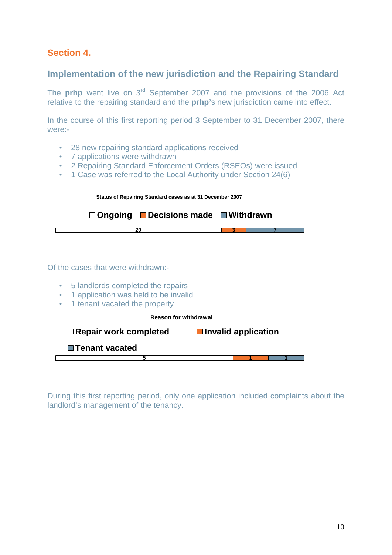## **Section 4.**

## **Implementation of the new jurisdiction and the Repairing Standard**

The **prhp** went live on 3<sup>rd</sup> September 2007 and the provisions of the 2006 Act relative to the repairing standard and the **prhp'**s new jurisdiction came into effect.

In the course of this first reporting period 3 September to 31 December 2007, there were:-

- 28 new repairing standard applications received
- 7 applications were withdrawn
- 2 Repairing Standard Enforcement Orders (RSEOs) were issued
- 1 Case was referred to the Local Authority under Section 24(6)

| Status of Repairing Standard cases as at 31 December 2007 |  |  |  |  |  |
|-----------------------------------------------------------|--|--|--|--|--|
| $\Box$ Ongoing $\Box$ Decisions made $\Box$ Withdrawn     |  |  |  |  |  |
|                                                           |  |  |  |  |  |

#### Of the cases that were withdrawn:-

- 5 landlords completed the repairs
- 1 application was held to be invalid
- 1 tenant vacated the property

|  | <b>Reason for withdrawal</b> |  |
|--|------------------------------|--|
|  |                              |  |

| $\Box$ Repair work completed | $\blacksquare$ Invalid application |  |
|------------------------------|------------------------------------|--|
| □ Tenant vacated             |                                    |  |
|                              |                                    |  |
|                              |                                    |  |

During this first reporting period, only one application included complaints about the landlord's management of the tenancy.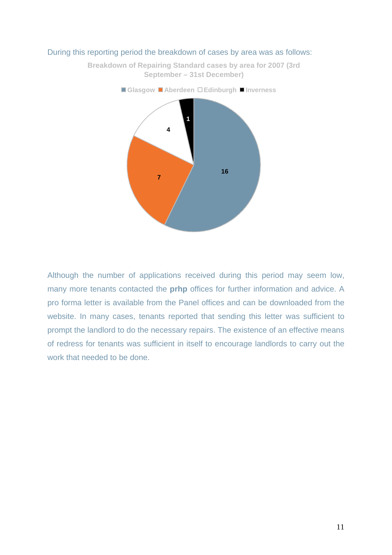

#### During this reporting period the breakdown of cases by area was as follows:

**Breakdown of Repairing Standard cases by area for 2007 (3rd September – 31st December)**

Although the number of applications received during this period may seem low, many more tenants contacted the **prhp** offices for further information and advice. A pro forma letter is available from the Panel offices and can be downloaded from the website. In many cases, tenants reported that sending this letter was sufficient to prompt the landlord to do the necessary repairs. The existence of an effective means of redress for tenants was sufficient in itself to encourage landlords to carry out the work that needed to be done.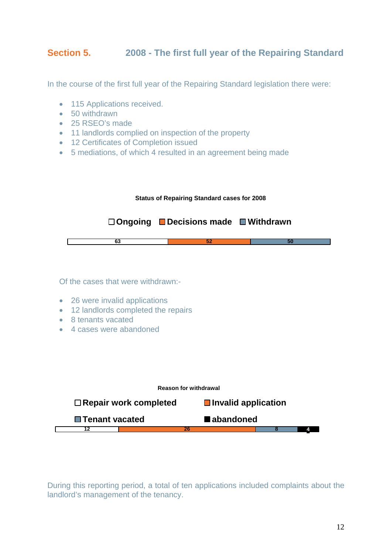## **Section 5. 2008 - The first full year of the Repairing Standard**

In the course of the first full year of the Repairing Standard legislation there were:

- 115 Applications received.
- 50 withdrawn
- 25 RSEO's made
- 11 landlords complied on inspection of the property
- 12 Certificates of Completion issued
- 5 mediations, of which 4 resulted in an agreement being made



Of the cases that were withdrawn:-

- 26 were invalid applications
- 12 landlords completed the repairs
- 8 tenants vacated
- 4 cases were abandoned



During this reporting period, a total of ten applications included complaints about the landlord's management of the tenancy.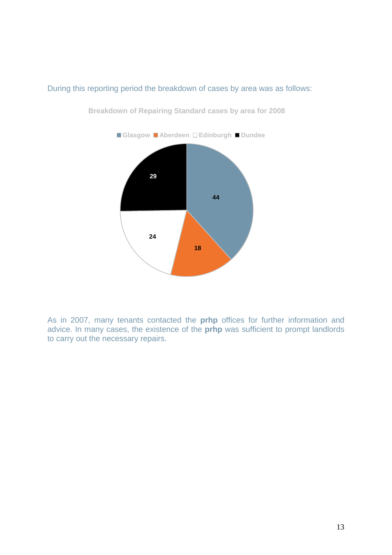

#### During this reporting period the breakdown of cases by area was as follows:

**Breakdown of Repairing Standard cases by area for 2008**

As in 2007, many tenants contacted the **prhp** offices for further information and advice. In many cases, the existence of the **prhp** was sufficient to prompt landlords to carry out the necessary repairs.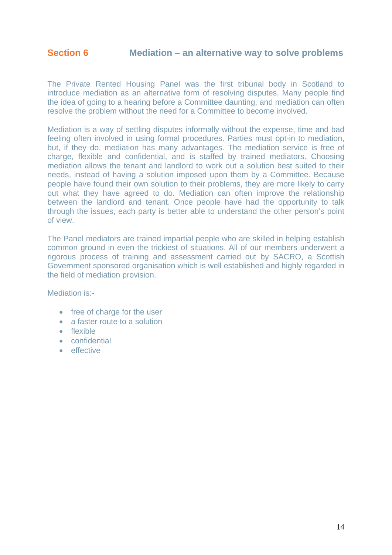The Private Rented Housing Panel was the first tribunal body in Scotland to introduce mediation as an alternative form of resolving disputes. Many people find the idea of going to a hearing before a Committee daunting, and mediation can often resolve the problem without the need for a Committee to become involved.

Mediation is a way of settling disputes informally without the expense, time and bad feeling often involved in using formal procedures. Parties must opt-in to mediation, but, if they do, mediation has many advantages. The mediation service is free of charge, flexible and confidential, and is staffed by trained mediators. Choosing mediation allows the tenant and landlord to work out a solution best suited to their needs, instead of having a solution imposed upon them by a Committee. Because people have found their own solution to their problems, they are more likely to carry out what they have agreed to do. Mediation can often improve the relationship between the landlord and tenant. Once people have had the opportunity to talk through the issues, each party is better able to understand the other person's point of view.

The Panel mediators are trained impartial people who are skilled in helping establish common ground in even the trickiest of situations. All of our members underwent a rigorous process of training and assessment carried out by SACRO, a Scottish Government sponsored organisation which is well established and highly regarded in the field of mediation provision.

Mediation is:-

- free of charge for the user
- a faster route to a solution
- flexible
- confidential
- effective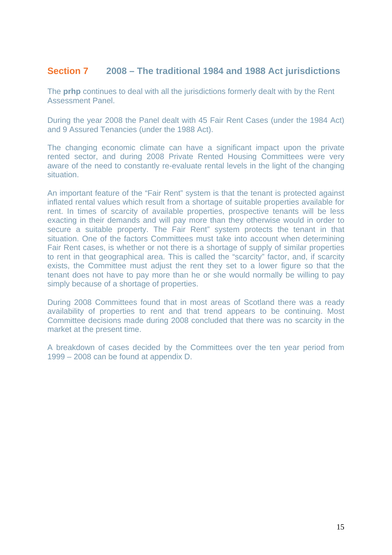### **Section 7 2008 – The traditional 1984 and 1988 Act jurisdictions**

The **prhp** continues to deal with all the jurisdictions formerly dealt with by the Rent Assessment Panel.

During the year 2008 the Panel dealt with 45 Fair Rent Cases (under the 1984 Act) and 9 Assured Tenancies (under the 1988 Act).

The changing economic climate can have a significant impact upon the private rented sector, and during 2008 Private Rented Housing Committees were very aware of the need to constantly re-evaluate rental levels in the light of the changing situation.

An important feature of the "Fair Rent" system is that the tenant is protected against inflated rental values which result from a shortage of suitable properties available for rent. In times of scarcity of available properties, prospective tenants will be less exacting in their demands and will pay more than they otherwise would in order to secure a suitable property. The Fair Rent" system protects the tenant in that situation. One of the factors Committees must take into account when determining Fair Rent cases, is whether or not there is a shortage of supply of similar properties to rent in that geographical area. This is called the "scarcity" factor, and, if scarcity exists, the Committee must adjust the rent they set to a lower figure so that the tenant does not have to pay more than he or she would normally be willing to pay simply because of a shortage of properties.

During 2008 Committees found that in most areas of Scotland there was a ready availability of properties to rent and that trend appears to be continuing. Most Committee decisions made during 2008 concluded that there was no scarcity in the market at the present time.

A breakdown of cases decided by the Committees over the ten year period from 1999 – 2008 can be found at appendix D.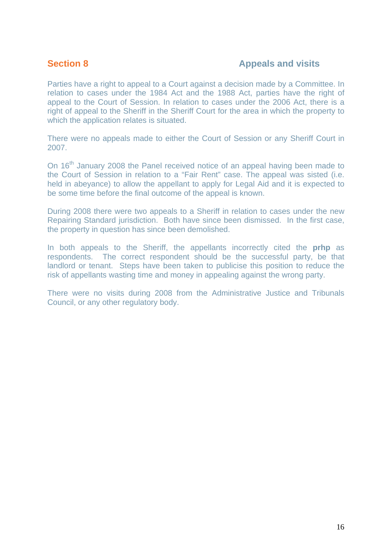#### **Section 8 Appeals and visits**

Parties have a right to appeal to a Court against a decision made by a Committee. In relation to cases under the 1984 Act and the 1988 Act, parties have the right of appeal to the Court of Session. In relation to cases under the 2006 Act, there is a right of appeal to the Sheriff in the Sheriff Court for the area in which the property to which the application relates is situated.

There were no appeals made to either the Court of Session or any Sheriff Court in 2007.

On 16<sup>th</sup> January 2008 the Panel received notice of an appeal having been made to the Court of Session in relation to a "Fair Rent" case. The appeal was sisted (i.e. held in abeyance) to allow the appellant to apply for Legal Aid and it is expected to be some time before the final outcome of the appeal is known.

During 2008 there were two appeals to a Sheriff in relation to cases under the new Repairing Standard jurisdiction. Both have since been dismissed. In the first case, the property in question has since been demolished.

In both appeals to the Sheriff, the appellants incorrectly cited the **prhp** as respondents. The correct respondent should be the successful party, be that landlord or tenant. Steps have been taken to publicise this position to reduce the risk of appellants wasting time and money in appealing against the wrong party.

There were no visits during 2008 from the Administrative Justice and Tribunals Council, or any other regulatory body.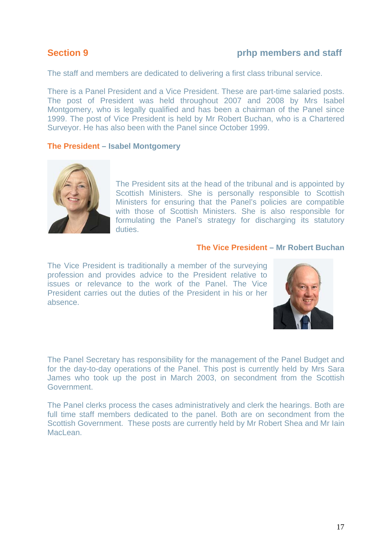#### **Section 9 prhp members and staff**

The staff and members are dedicated to delivering a first class tribunal service.

There is a Panel President and a Vice President. These are part-time salaried posts. The post of President was held throughout 2007 and 2008 by Mrs Isabel Montgomery, who is legally qualified and has been a chairman of the Panel since 1999. The post of Vice President is held by Mr Robert Buchan, who is a Chartered Surveyor. He has also been with the Panel since October 1999.

#### **The President – Isabel Montgomery**



The President sits at the head of the tribunal and is appointed by Scottish Ministers. She is personally responsible to Scottish Ministers for ensuring that the Panel's policies are compatible with those of Scottish Ministers. She is also responsible for formulating the Panel's strategy for discharging its statutory duties.

#### **The Vice President – Mr Robert Buchan**

The Vice President is traditionally a member of the surveying profession and provides advice to the President relative to issues or relevance to the work of the Panel. The Vice President carries out the duties of the President in his or her absence.



The Panel Secretary has responsibility for the management of the Panel Budget and for the day-to-day operations of the Panel. This post is currently held by Mrs Sara James who took up the post in March 2003, on secondment from the Scottish Government.

The Panel clerks process the cases administratively and clerk the hearings. Both are full time staff members dedicated to the panel. Both are on secondment from the Scottish Government. These posts are currently held by Mr Robert Shea and Mr Iain MacLean.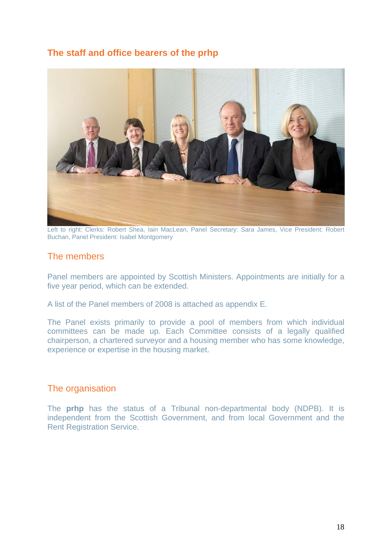## **The staff and office bearers of the prhp**



Left to right: Clerks: Robert Shea, Iain MacLean, Panel Secretary: Sara James, Vice President: Robert Buchan, Panel President: Isabel Montgomery

#### The members

Panel members are appointed by Scottish Ministers. Appointments are initially for a five year period, which can be extended.

A list of the Panel members of 2008 is attached as appendix E.

The Panel exists primarily to provide a pool of members from which individual committees can be made up. Each Committee consists of a legally qualified chairperson, a chartered surveyor and a housing member who has some knowledge, experience or expertise in the housing market.

#### The organisation

The **prhp** has the status of a Tribunal non-departmental body (NDPB). It is independent from the Scottish Government, and from local Government and the Rent Registration Service.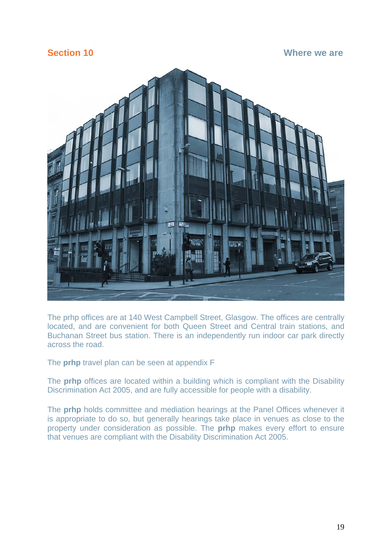**Section 10** Where we are **Where we are** 



The prhp offices are at 140 West Campbell Street, Glasgow. The offices are centrally located, and are convenient for both Queen Street and Central train stations, and Buchanan Street bus station. There is an independently run indoor car park directly across the road.

The **prhp** travel plan can be seen at appendix F

The **prhp** offices are located within a building which is compliant with the Disability Discrimination Act 2005, and are fully accessible for people with a disability.

The **prhp** holds committee and mediation hearings at the Panel Offices whenever it is appropriate to do so, but generally hearings take place in venues as close to the property under consideration as possible. The **prhp** makes every effort to ensure that venues are compliant with the Disability Discrimination Act 2005.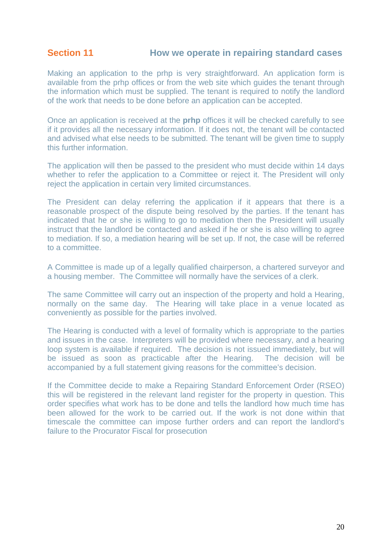## **Section 11** How we operate in repairing standard cases

Making an application to the prhp is very straightforward. An application form is available from the prhp offices or from the web site which guides the tenant through the information which must be supplied. The tenant is required to notify the landlord of the work that needs to be done before an application can be accepted.

Once an application is received at the **prhp** offices it will be checked carefully to see if it provides all the necessary information. If it does not, the tenant will be contacted and advised what else needs to be submitted. The tenant will be given time to supply this further information.

The application will then be passed to the president who must decide within 14 days whether to refer the application to a Committee or reject it. The President will only reject the application in certain very limited circumstances.

The President can delay referring the application if it appears that there is a reasonable prospect of the dispute being resolved by the parties. If the tenant has indicated that he or she is willing to go to mediation then the President will usually instruct that the landlord be contacted and asked if he or she is also willing to agree to mediation. If so, a mediation hearing will be set up. If not, the case will be referred to a committee.

A Committee is made up of a legally qualified chairperson, a chartered surveyor and a housing member. The Committee will normally have the services of a clerk.

The same Committee will carry out an inspection of the property and hold a Hearing, normally on the same day. The Hearing will take place in a venue located as conveniently as possible for the parties involved.

The Hearing is conducted with a level of formality which is appropriate to the parties and issues in the case. Interpreters will be provided where necessary, and a hearing loop system is available if required. The decision is not issued immediately, but will be issued as soon as practicable after the Hearing. The decision will be accompanied by a full statement giving reasons for the committee's decision.

If the Committee decide to make a Repairing Standard Enforcement Order (RSEO) this will be registered in the relevant land register for the property in question. This order specifies what work has to be done and tells the landlord how much time has been allowed for the work to be carried out. If the work is not done within that timescale the committee can impose further orders and can report the landlord's failure to the Procurator Fiscal for prosecution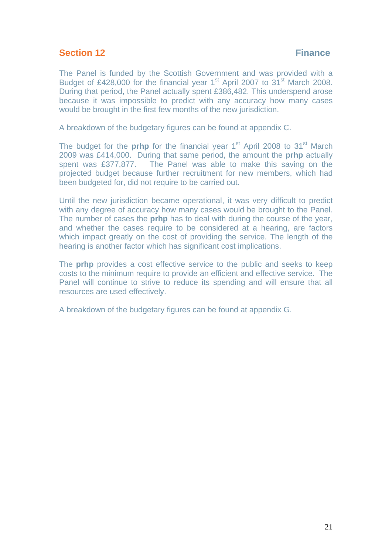## **Section 12** Finance

The Panel is funded by the Scottish Government and was provided with a Budget of £428,000 for the financial year  $1<sup>st</sup>$  April 2007 to 31 $<sup>st</sup>$  March 2008.</sup> During that period, the Panel actually spent £386,482. This underspend arose because it was impossible to predict with any accuracy how many cases would be brought in the first few months of the new jurisdiction.

A breakdown of the budgetary figures can be found at appendix C.

The budget for the **prhp** for the financial year 1<sup>st</sup> April 2008 to 31<sup>st</sup> March 2009 was £414,000. During that same period, the amount the **prhp** actually spent was £377,877. The Panel was able to make this saving on the projected budget because further recruitment for new members, which had been budgeted for, did not require to be carried out.

Until the new jurisdiction became operational, it was very difficult to predict with any degree of accuracy how many cases would be brought to the Panel. The number of cases the **prhp** has to deal with during the course of the year, and whether the cases require to be considered at a hearing, are factors which impact greatly on the cost of providing the service. The length of the hearing is another factor which has significant cost implications.

The **prhp** provides a cost effective service to the public and seeks to keep costs to the minimum require to provide an efficient and effective service. The Panel will continue to strive to reduce its spending and will ensure that all resources are used effectively.

A breakdown of the budgetary figures can be found at appendix G.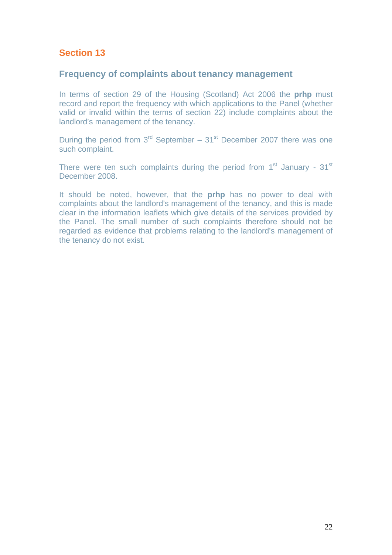## **Section 13**

#### **Frequency of complaints about tenancy management**

In terms of section 29 of the Housing (Scotland) Act 2006 the **prhp** must record and report the frequency with which applications to the Panel (whether valid or invalid within the terms of section 22) include complaints about the landlord's management of the tenancy.

During the period from  $3^{rd}$  September –  $31^{st}$  December 2007 there was one such complaint.

There were ten such complaints during the period from  $1<sup>st</sup>$  January -  $31<sup>st</sup>$ December 2008.

It should be noted, however, that the **prhp** has no power to deal with complaints about the landlord's management of the tenancy, and this is made clear in the information leaflets which give details of the services provided by the Panel. The small number of such complaints therefore should not be regarded as evidence that problems relating to the landlord's management of the tenancy do not exist.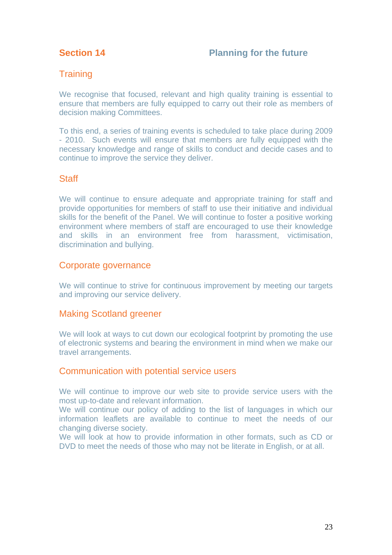## **Training**

We recognise that focused, relevant and high quality training is essential to ensure that members are fully equipped to carry out their role as members of decision making Committees.

To this end, a series of training events is scheduled to take place during 2009 - 2010. Such events will ensure that members are fully equipped with the necessary knowledge and range of skills to conduct and decide cases and to continue to improve the service they deliver.

## **Staff**

We will continue to ensure adequate and appropriate training for staff and provide opportunities for members of staff to use their initiative and individual skills for the benefit of the Panel. We will continue to foster a positive working environment where members of staff are encouraged to use their knowledge and skills in an environment free from harassment, victimisation, discrimination and bullying.

#### Corporate governance

We will continue to strive for continuous improvement by meeting our targets and improving our service delivery.

#### Making Scotland greener

We will look at ways to cut down our ecological footprint by promoting the use of electronic systems and bearing the environment in mind when we make our travel arrangements.

#### Communication with potential service users

We will continue to improve our web site to provide service users with the most up-to-date and relevant information.

We will continue our policy of adding to the list of languages in which our information leaflets are available to continue to meet the needs of our changing diverse society.

We will look at how to provide information in other formats, such as CD or DVD to meet the needs of those who may not be literate in English, or at all.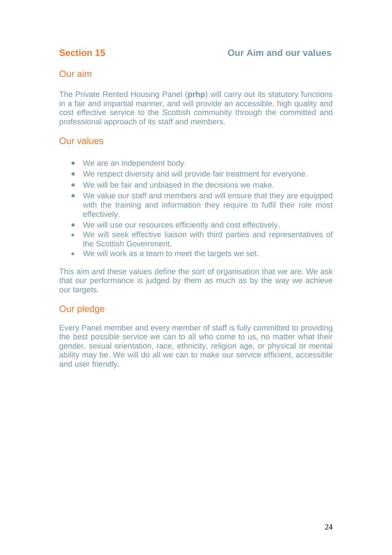#### Our aim

The Private Rented Housing Panel (**prhp**) will carry out its statutory functions in a fair and impartial manner, and will provide an accessible, high quality and cost effective service to the Scottish community through the committed and professional approach of its staff and members.

#### Our values

- We are an independent body.
- We respect diversity and will provide fair treatment for everyone.
- We will be fair and unbiased in the decisions we make.
- We value our staff and members and will ensure that they are equipped with the training and information they require to fulfil their role most effectively.
- We will use our resources efficiently and cost effectively.
- We will seek effective liaison with third parties and representatives of the Scottish Government.
- We will work as a team to meet the targets we set.

This aim and these values define the sort of organisation that we are. We ask that our performance is judged by them as much as by the way we achieve our targets.

## Our pledge

Every Panel member and every member of staff is fully committed to providing the best possible service we can to all who come to us, no matter what their gender, sexual orientation, race, ethnicity, religion age, or physical or mental ability may be. We will do all we can to make our service efficient, accessible and user friendly.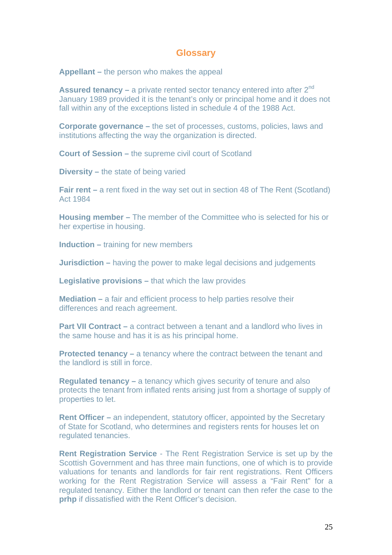#### **Glossary**

**Appellant –** the person who makes the appeal

**Assured tenancy – a private rented sector tenancy entered into after 2<sup>nd</sup>** January 1989 provided it is the tenant's only or principal home and it does not fall within any of the exceptions listed in schedule 4 of the 1988 Act.

**Corporate governance –** the set of processes, customs, policies, laws and institutions affecting the way the organization is directed.

**Court of Session –** the supreme civil court of Scotland

**Diversity –** the state of being varied

**Fair rent – a rent fixed in the way set out in section 48 of The Rent (Scotland)** Act 1984

**Housing member –** The member of the Committee who is selected for his or her expertise in housing.

**Induction –** training for new members

**Jurisdiction –** having the power to make legal decisions and judgements

**Legislative provisions –** that which the law provides

**Mediation –** a fair and efficient process to help parties resolve their differences and reach agreement.

**Part VII Contract – a contract between a tenant and a landlord who lives in** the same house and has it is as his principal home.

**Protected tenancy –** a tenancy where the contract between the tenant and the landlord is still in force.

**Regulated tenancy –** a tenancy which gives security of tenure and also protects the tenant from inflated rents arising just from a shortage of supply of properties to let.

**Rent Officer –** an independent, statutory officer, appointed by the Secretary of State for Scotland, who determines and registers rents for houses let on regulated tenancies.

**Rent Registration Service** - The Rent Registration Service is set up by the Scottish Government and has three main functions, one of which is to provide valuations for tenants and landlords for fair rent registrations. Rent Officers working for the Rent Registration Service will assess a "Fair Rent" for a regulated tenancy. Either the landlord or tenant can then refer the case to the **prhp** if dissatisfied with the Rent Officer's decision.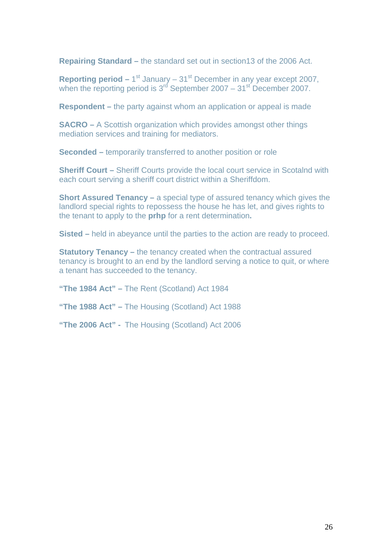**Repairing Standard –** the standard set out in section13 of the 2006 Act.

**Reporting period –**  $1^{st}$  January –  $31^{st}$  December in any year except 2007, when the reporting period is  $3^{rd}$  September 2007 – 31st December 2007.

**Respondent –** the party against whom an application or appeal is made

**SACRO –** A Scottish organization which provides amongst other things mediation services and training for mediators.

**Seconded –** temporarily transferred to another position or role

**Sheriff Court – Sheriff Courts provide the local court service in Scotalnd with** each court serving a sheriff court district within a Sheriffdom.

**Short Assured Tenancy –** a special type of assured tenancy which gives the landlord special rights to repossess the house he has let, and gives rights to the tenant to apply to the **prhp** for a rent determination**.** 

**Sisted –** held in abeyance until the parties to the action are ready to proceed.

**Statutory Tenancy – the tenancy created when the contractual assured** tenancy is brought to an end by the landlord serving a notice to quit, or where a tenant has succeeded to the tenancy.

**"The 1984 Act" –** The Rent (Scotland) Act 1984

**"The 1988 Act" –** The Housing (Scotland) Act 1988

**"The 2006 Act" -** The Housing (Scotland) Act 2006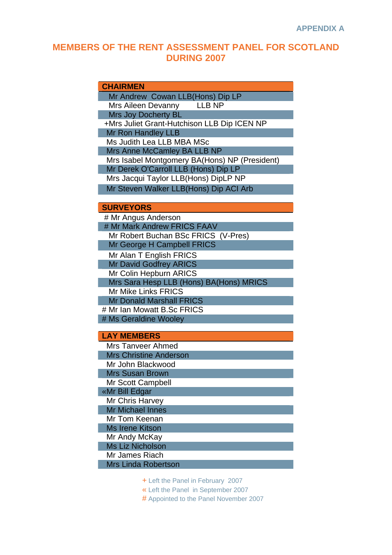## **MEMBERS OF THE RENT ASSESSMENT PANEL FOR SCOTLAND DURING 2007**

#### **CHAIRMEN**

Mr Andrew Cowan LLB(Hons) Dip LP Mrs Aileen Devanny LLB NP

Mrs Joy Docherty BL

 +Mrs Juliet Grant-Hutchison LLB Dip ICEN NP Mr Ron Handley LLB

Ms Judith Lea LLB MBA MSc

Mrs Anne McCamley BA LLB NP

 Mrs Isabel Montgomery BA(Hons) NP (President) Mr Derek O'Carroll LLB (Hons) Dip LP

Mrs Jacqui Taylor LLB(Hons) DipLP NP

Mr Steven Walker LLB(Hons) Dip ACI Arb

#### **SURVEYORS**

 # Mr Angus Anderson # Mr Mark Andrew FRICS FAAV Mr Robert Buchan BSc FRICS (V-Pres) Mr George H Campbell FRICS Mr Alan T English FRICS Mr David Godfrey ARICS Mr Colin Hepburn ARICS Mrs Sara Hesp LLB (Hons) BA(Hons) MRICS Mr Mike Links FRICS Mr Donald Marshall FRICS # Mr Ian Mowatt B.Sc FRICS # Ms Geraldine Wooley

#### **LAY MEMBERS**

 Mrs Tanveer Ahmed Mrs Christine Anderson Mr John Blackwood Mrs Susan Brown Mr Scott Campbell «Mr Bill Edgar Mr Chris Harvey Mr Michael Innes Mr Tom Keenan Ms Irene Kitson Mr Andy McKay Ms Liz Nicholson Mr James Riach Mrs Linda Robertson

+ Left the Panel in February 2007

« Left the Panel in September 2007

# Appointed to the Panel November 2007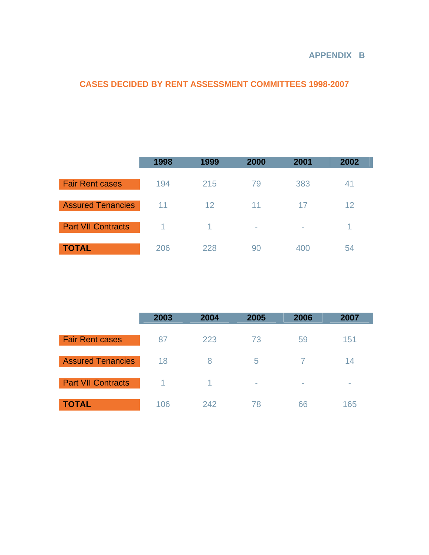#### **APPENDIX B**

## **CASES DECIDED BY RENT ASSESSMENT COMMITTEES 1998-2007**

|                           | 1998 | 1999 | 2000                     | 2001 | 2002 |
|---------------------------|------|------|--------------------------|------|------|
| <b>Fair Rent cases</b>    | 194  | 215  | 79                       | 383  | 41   |
| <b>Assured Tenancies</b>  | 11   | 12   | 11                       | 17   | 12   |
| <b>Part VII Contracts</b> |      |      | $\overline{\phantom{a}}$ | ۰    |      |
| <b>TOTAL</b>              | 206  | 228  | 90                       | 400  | 54   |

|                           | 2003 | 2004 | 2005                     | 2006                     | 2007 |
|---------------------------|------|------|--------------------------|--------------------------|------|
| <b>Fair Rent cases</b>    | 87   | 223  | 73                       | 59                       | 151  |
| <b>Assured Tenancies</b>  | 18   | 8    | 5                        |                          | 14   |
| <b>Part VII Contracts</b> | 1.   |      | $\overline{\phantom{a}}$ | $\overline{\phantom{a}}$ | -    |
| <b>TOTAL</b>              | 106  | 242  | 78                       | 66                       | 165  |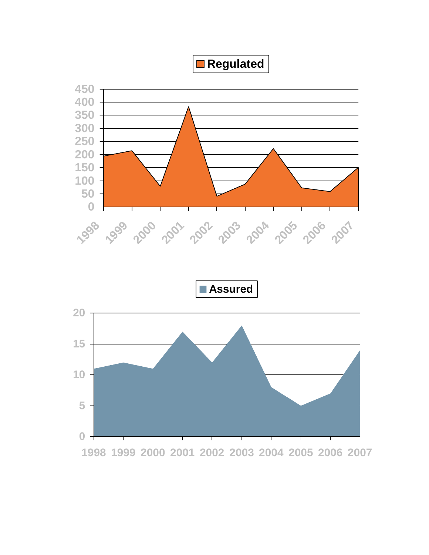**Regulated**



**1998 1999 2000 2001 2002 2003 2004 2005 2006 2007**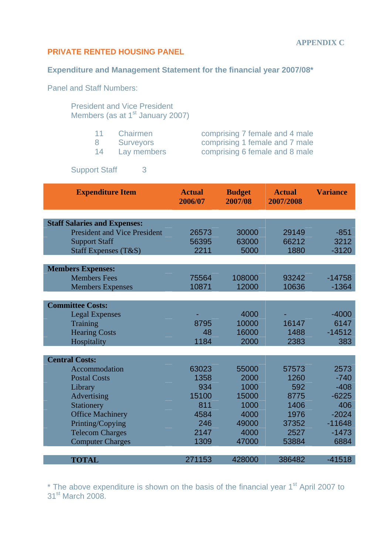#### **PRIVATE RENTED HOUSING PANEL**

#### **Expenditure and Management Statement for the financial year 2007/08\***

Panel and Staff Numbers:

President and Vice President Members (as at 1<sup>st</sup> January 2007)

| 11 Chairmen    | comprising 7 female and 4 male |
|----------------|--------------------------------|
| 8 Surveyors    | comprising 1 female and 7 male |
| 14 Lay members | comprising 6 female and 8 male |

Support Staff 3

| <b>Expenditure Item</b>             | <b>Actual</b><br>2006/07 | <b>Budget</b><br>2007/08 | <b>Actual</b><br>2007/2008 | <b>Variance</b> |
|-------------------------------------|--------------------------|--------------------------|----------------------------|-----------------|
|                                     |                          |                          |                            |                 |
| <b>Staff Salaries and Expenses:</b> |                          |                          |                            |                 |
| <b>President and Vice President</b> | 26573                    | 30000                    | 29149                      | $-851$          |
| <b>Support Staff</b>                | 56395                    | 63000                    | 66212                      | 3212            |
| Staff Expenses (T&S)                | 2211                     | 5000                     | 1880                       | $-3120$         |
|                                     |                          |                          |                            |                 |
| <b>Members Expenses:</b>            |                          |                          |                            |                 |
| <b>Members Fees</b>                 | 75564                    | 108000                   | 93242                      | $-14758$        |
| <b>Members Expenses</b>             | 10871                    | 12000                    | 10636                      | $-1364$         |
|                                     |                          |                          |                            |                 |
| <b>Committee Costs:</b>             |                          |                          |                            |                 |
| <b>Legal Expenses</b>               |                          | 4000                     |                            | $-4000$         |
| Training                            | 8795                     | 10000                    | 16147                      | 6147            |
| <b>Hearing Costs</b>                | 48                       | 16000                    | 1488                       | $-14512$        |
| Hospitality                         | 1184                     | 2000                     | 2383                       | 383             |
|                                     |                          |                          |                            |                 |
| <b>Central Costs:</b>               |                          |                          |                            |                 |
| Accommodation                       | 63023                    | 55000                    | 57573                      | 2573            |
| <b>Postal Costs</b>                 | 1358                     | 2000                     | 1260                       | $-740$          |
| Library                             | 934                      | 1000                     | 592                        | $-408$          |
| Advertising                         | 15100                    | 15000                    | 8775                       | $-6225$         |
| Stationery                          | 811                      | 1000                     | 1406                       | 406             |
| <b>Office Machinery</b>             | 4584                     | 4000                     | 1976                       | $-2024$         |
| Printing/Copying                    | 246                      | 49000                    | 37352                      | $-11648$        |
| <b>Telecom Charges</b>              | 2147                     | 4000                     | 2527                       | $-1473$         |
| <b>Computer Charges</b>             | 1309                     | 47000                    | 53884                      | 6884            |
|                                     |                          |                          |                            |                 |
| <b>TOTAL</b>                        | 271153                   | 428000                   | 386482                     | $-41518$        |

 $*$  The above expenditure is shown on the basis of the financial year  $1<sup>st</sup>$  April 2007 to 31<sup>st</sup> March 2008.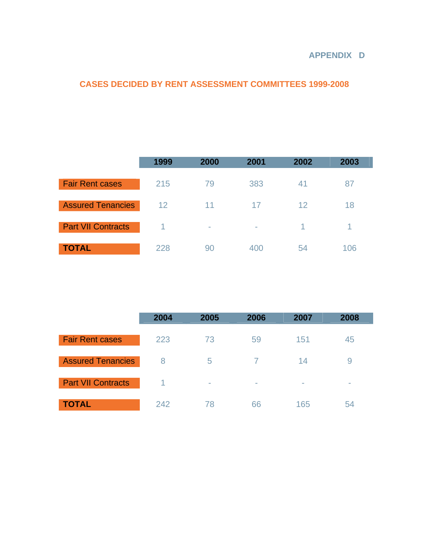#### **APPENDIX D**

## **CASES DECIDED BY RENT ASSESSMENT COMMITTEES 1999-2008**

|                           | 1999 | 2000   | 2001                     | 2002 | 2003 |
|---------------------------|------|--------|--------------------------|------|------|
| <b>Fair Rent cases</b>    | 215  | 79     | 383                      | 41   | 87   |
| <b>Assured Tenancies</b>  | 12   | 11     | 17                       | 12   | 18   |
| <b>Part VII Contracts</b> |      | $\sim$ | $\overline{\phantom{a}}$ | 1    | 1    |
| <b>TOTAL</b>              | 228  | 90     | 400                      | 54   | 106  |

|                           | 2004 | 2005   | 2006                     | 2007                     | 2008 |
|---------------------------|------|--------|--------------------------|--------------------------|------|
| <b>Fair Rent cases</b>    | 223  | 73     | 59                       | 151                      | 45   |
| <b>Assured Tenancies</b>  | 8    | 5      | 7                        | 14                       | 9    |
| <b>Part VII Contracts</b> |      | $\sim$ | $\overline{\phantom{a}}$ | $\overline{\phantom{a}}$ | -    |
| <b>TOTAL</b>              | 242  | 78     | 66                       | 165                      | 54   |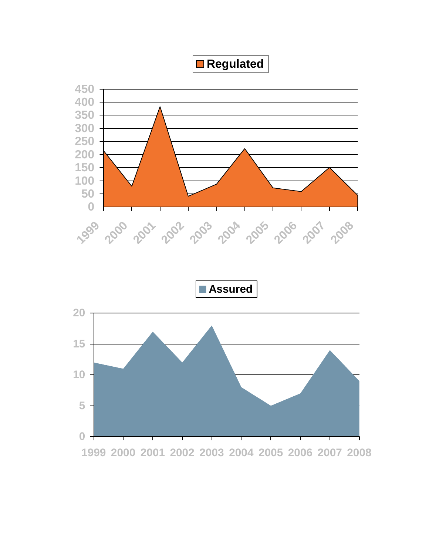**Regulated**



**1999 2000 2001 2002 2003 2004 2005 2006 2007 2008**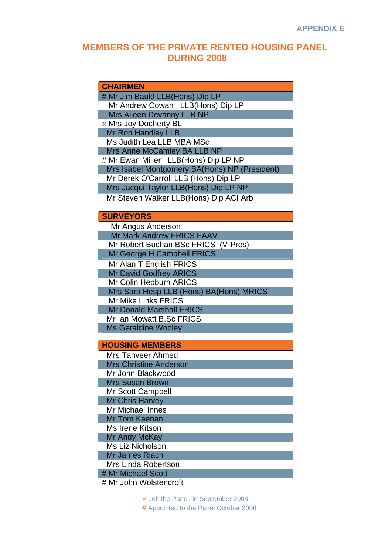#### **MEMBERS OF THE PRIVATE RENTED HOUSING PANEL DURING 2008**

#### **CHAIRMEN**  # Mr Jim Bauld LLB(Hons) Dip LP Mr Andrew Cowan LLB(Hons) Dip LP Mrs Aileen Devanny LLB NP « Mrs Joy Docherty BL Mr Ron Handley LLB Ms Judith Lea LLB MBA MSc Mrs Anne McCamley BA LLB NP # Mr Ewan Miller LLB(Hons) Dip LP NP Mrs Isabel Montgomery BA(Hons) NP (President) Mr Derek O'Carroll LLB (Hons) Dip LP Mrs Jacqui Taylor LLB(Hons) Dip LP NP Mr Steven Walker LLB(Hons) Dip ACI Arb **SURVEYORS**  Mr Angus Anderson Mr Mark Andrew FRICS FAAV Mr Robert Buchan BSc FRICS (V-Pres) Mr George H Campbell FRICS Mr Alan T English FRICS Mr David Godfrey ARICS Mr Colin Hepburn ARICS Mrs Sara Hesp LLB (Hons) BA(Hons) MRICS Mr Mike Links FRICS Mr Donald Marshall FRICS Mr Ian Mowatt B.Sc FRICS Ms Geraldine Wooley

#### **HOUSING MEMBERS**

 Mrs Tanveer Ahmed Mrs Christine Anderson Mr John Blackwood Mrs Susan Brown Mr Scott Campbell Mr Chris Harvey Mr Michael Innes Mr Tom Keenan Ms Irene Kitson Mr Andy McKay Ms Liz Nicholson Mr James Riach Mrs Linda Robertson # Mr Michael Scott

# Mr John Wolstencroft

« Left the Panel in September 2008 # Appointed to the Panel October 2008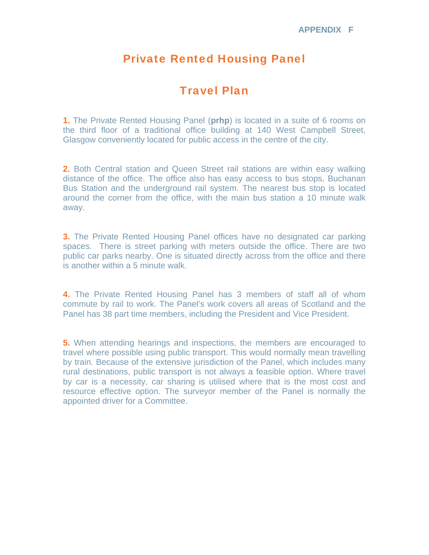## Private Rented Housing Panel

## Travel Plan

**1.** The Private Rented Housing Panel (**prhp**) is located in a suite of 6 rooms on the third floor of a traditional office building at 140 West Campbell Street, Glasgow conveniently located for public access in the centre of the city.

**2.** Both Central station and Queen Street rail stations are within easy walking distance of the office. The office also has easy access to bus stops, Buchanan Bus Station and the underground rail system. The nearest bus stop is located around the corner from the office, with the main bus station a 10 minute walk away.

**3.** The Private Rented Housing Panel offices have no designated car parking spaces. There is street parking with meters outside the office. There are two public car parks nearby. One is situated directly across from the office and there is another within a 5 minute walk.

**4.** The Private Rented Housing Panel has 3 members of staff all of whom commute by rail to work. The Panel's work covers all areas of Scotland and the Panel has 38 part time members, including the President and Vice President.

**5.** When attending hearings and inspections, the members are encouraged to travel where possible using public transport. This would normally mean travelling by train. Because of the extensive jurisdiction of the Panel, which includes many rural destinations, public transport is not always a feasible option. Where travel by car is a necessity, car sharing is utilised where that is the most cost and resource effective option. The surveyor member of the Panel is normally the appointed driver for a Committee.